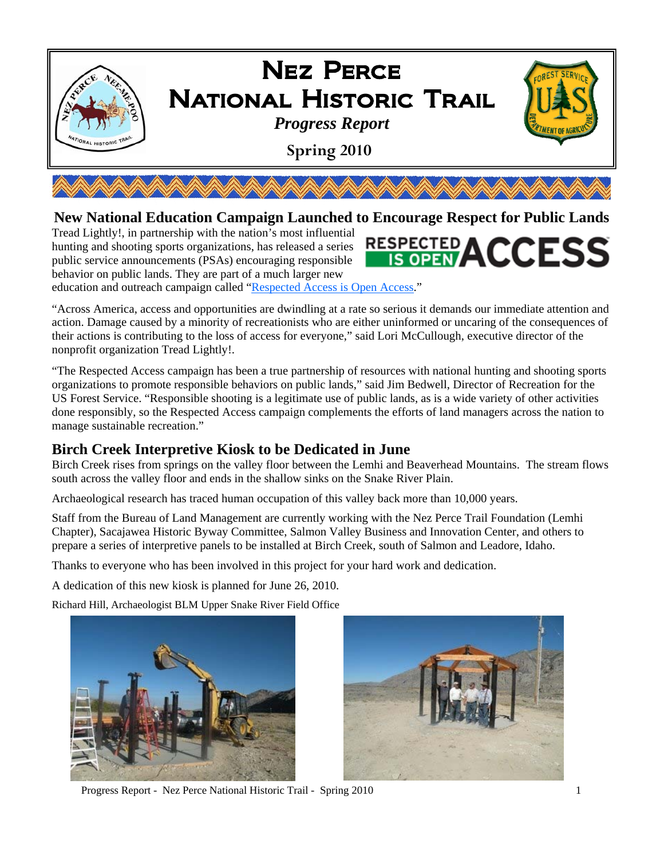

#### **New National Education Campaign Launched to Encourage Respect for Public Lands**

Tread Lightly!, in partnership with the nation's most influential hunting and shooting sports organizations, has released a series public service announcements (PSAs) encouraging responsible behavior on public lands. They are part of a much larger new education and outreach campaign called "Respected Access is Open Access."

"Across America, access and opportunities are dwindling at a rate so serious it demands our immediate attention and action. Damage caused by a minority of recreationists who are either uninformed or uncaring of the consequences of their actions is contributing to the loss of access for everyone," said Lori McCullough, executive director of the nonprofit organization Tread Lightly!.

"The Respected Access campaign has been a true partnership of resources with national hunting and shooting sports organizations to promote responsible behaviors on public lands," said Jim Bedwell, Director of Recreation for the US Forest Service. "Responsible shooting is a legitimate use of public lands, as is a wide variety of other activities done responsibly, so the Respected Access campaign complements the efforts of land managers across the nation to manage sustainable recreation."

#### **Birch Creek Interpretive Kiosk to be Dedicated in June**

Birch Creek rises from springs on the valley floor between the Lemhi and Beaverhead Mountains. The stream flows south across the valley floor and ends in the shallow sinks on the Snake River Plain.

Archaeological research has traced human occupation of this valley back more than 10,000 years.

Staff from the Bureau of Land Management are currently working with the Nez Perce Trail Foundation (Lemhi Chapter), Sacajawea Historic Byway Committee, Salmon Valley Business and Innovation Center, and others to prepare a series of interpretive panels to be installed at Birch Creek, south of Salmon and Leadore, Idaho.

Thanks to everyone who has been involved in this project for your hard work and dedication.

A dedication of this new kiosk is planned for June 26, 2010.

Richard Hill, Archaeologist BLM Upper Snake River Field Office





RESPECTED ACCESS

Progress Report - Nez Perce National Historic Trail - Spring 2010 1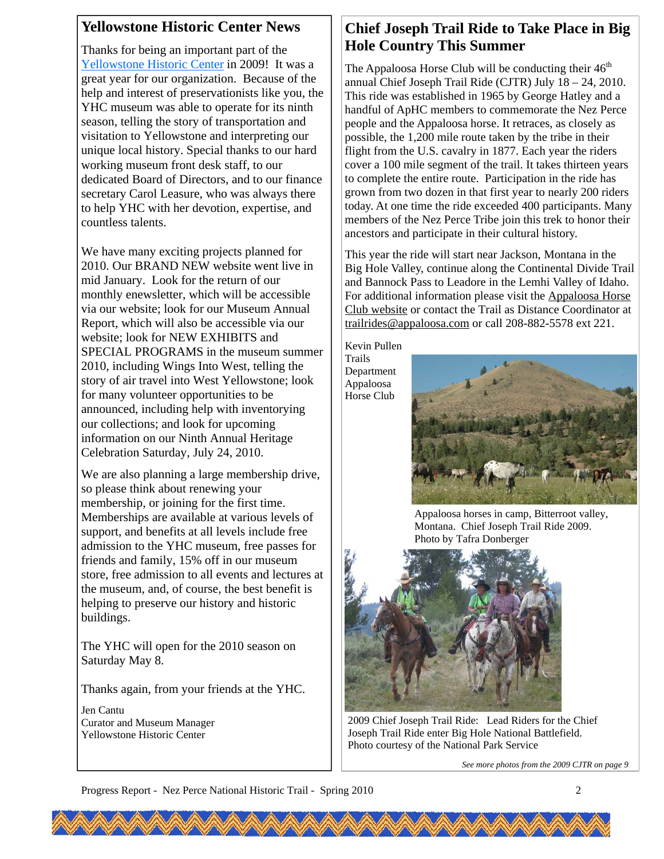#### **Yellowstone Historic Center News**

Thanks for being an important part of the Yellowstone Historic Center in 2009! It was a great year for our organization. Because of the help and interest of preservationists like you, the YHC museum was able to operate for its ninth season, telling the story of transportation and visitation to Yellowstone and interpreting our unique local history. Special thanks to our hard working museum front desk staff, to our dedicated Board of Directors, and to our finance secretary Carol Leasure, who was always there to help YHC with her devotion, expertise, and countless talents.

We have many exciting projects planned for 2010. Our BRAND NEW website went live in mid January. Look for the return of our monthly enewsletter, which will be accessible via our website; look for our Museum Annual Report, which will also be accessible via our website; look for NEW EXHIBITS and SPECIAL PROGRAMS in the museum summer 2010, including Wings Into West, telling the story of air travel into West Yellowstone; look for many volunteer opportunities to be announced, including help with inventorying our collections; and look for upcoming information on our Ninth Annual Heritage Celebration Saturday, July 24, 2010.

We are also planning a large membership drive, so please think about renewing your membership, or joining for the first time. Memberships are available at various levels of support, and benefits at all levels include free admission to the YHC museum, free passes for friends and family, 15% off in our museum store, free admission to all events and lectures at the museum, and, of course, the best benefit is helping to preserve our history and historic buildings.

The YHC will open for the 2010 season on Saturday May 8.

Thanks again, from your friends at the YHC.

Jen Cantu Curator and Museum Manager Yellowstone Historic Center

#### **Chief Joseph Trail Ride to Take Place in Big Hole Country This Summer**

The Appaloosa Horse Club will be conducting their  $46<sup>th</sup>$ annual Chief Joseph Trail Ride (CJTR) July 18 – 24, 2010. This ride was established in 1965 by George Hatley and a handful of ApHC members to commemorate the Nez Perce people and the Appaloosa horse. It retraces, as closely as possible, the 1,200 mile route taken by the tribe in their flight from the U.S. cavalry in 1877. Each year the riders cover a 100 mile segment of the trail. It takes thirteen years to complete the entire route. Participation in the ride has grown from two dozen in that first year to nearly 200 riders today. At one time the ride exceeded 400 participants. Many members of the Nez Perce Tribe join this trek to honor their ancestors and participate in their cultural history.

This year the ride will start near Jackson, Montana in the Big Hole Valley, continue along the Continental Divide Trail and Bannock Pass to Leadore in the Lemhi Valley of Idaho. For additional information please visit the Appaloosa Horse Club website or contact the Trail as Distance Coordinator at trailrides@appaloosa.com or call 208-882-5578 ext 221.

Kevin Pullen Trails

Department Appaloosa Horse Club



Appaloosa horses in camp, Bitterroot valley, Montana. Chief Joseph Trail Ride 2009. Photo by Tafra Donberger



2009 Chief Joseph Trail Ride: Lead Riders for the Chief Joseph Trail Ride enter Big Hole National Battlefield. Photo courtesy of the National Park Service

*See more photos from the 2009 CJTR on page 9*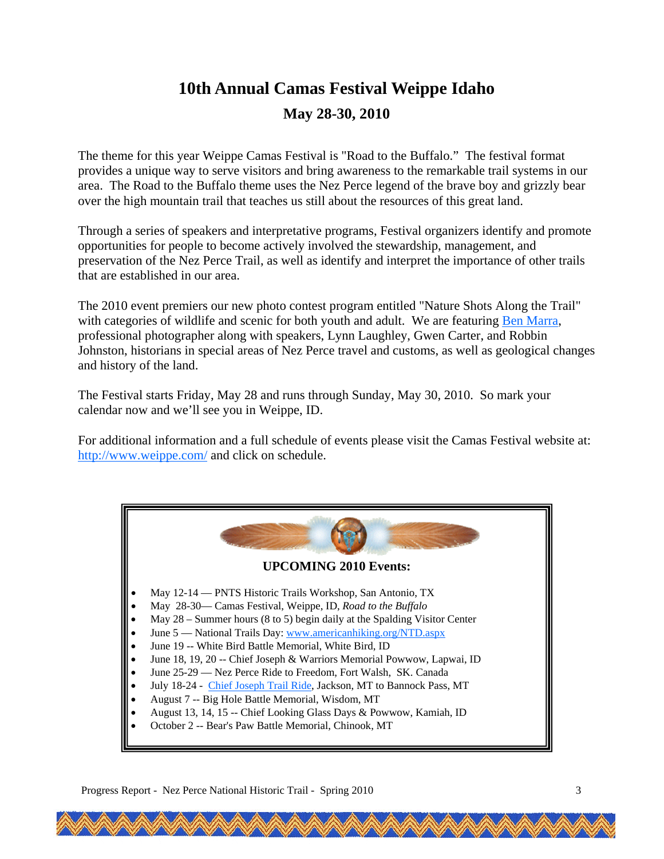## **10th Annual Camas Festival Weippe Idaho May 28-30, 2010**

The theme for this year Weippe Camas Festival is "Road to the Buffalo." The festival format provides a unique way to serve visitors and bring awareness to the remarkable trail systems in our area. The Road to the Buffalo theme uses the Nez Perce legend of the brave boy and grizzly bear over the high mountain trail that teaches us still about the resources of this great land.

Through a series of speakers and interpretative programs, Festival organizers identify and promote opportunities for people to become actively involved the stewardship, management, and preservation of the Nez Perce Trail, as well as identify and interpret the importance of other trails that are established in our area.

The 2010 event premiers our new photo contest program entitled "Nature Shots Along the Trail" with categories of wildlife and scenic for both youth and adult. We are featuring Ben Marra, professional photographer along with speakers, Lynn Laughley, Gwen Carter, and Robbin Johnston, historians in special areas of Nez Perce travel and customs, as well as geological changes and history of the land.

The Festival starts Friday, May 28 and runs through Sunday, May 30, 2010. So mark your calendar now and we'll see you in Weippe, ID.

For additional information and a full schedule of events please visit the Camas Festival website at: http://www.weippe.com/ and click on schedule.

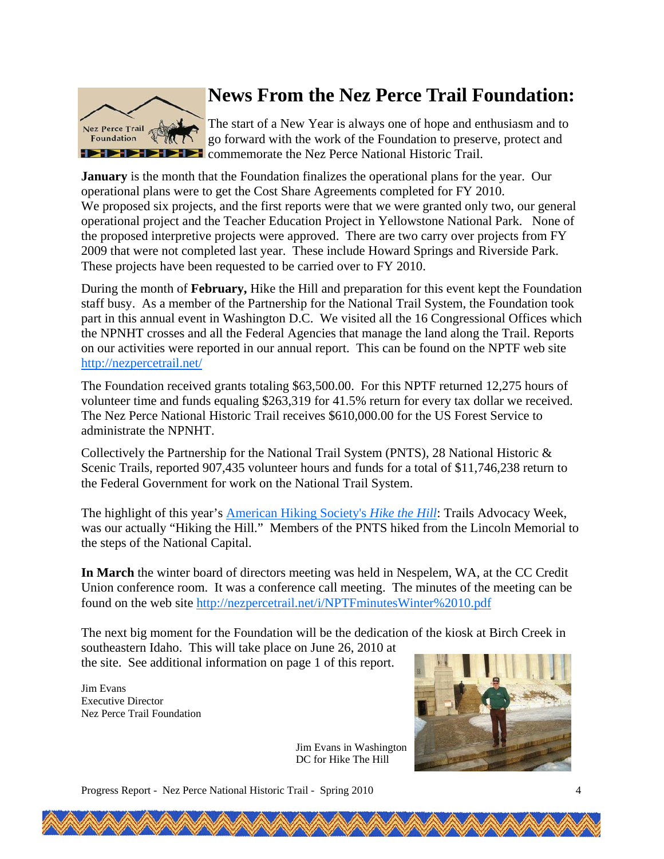

## **News From the Nez Perce Trail Foundation:**

The start of a New Year is always one of hope and enthusiasm and to go forward with the work of the Foundation to preserve, protect and **EXECUTE:** Commemorate the Nez Perce National Historic Trail.

**January** is the month that the Foundation finalizes the operational plans for the year. Our operational plans were to get the Cost Share Agreements completed for FY 2010. We proposed six projects, and the first reports were that we were granted only two, our general operational project and the Teacher Education Project in Yellowstone National Park. None of the proposed interpretive projects were approved. There are two carry over projects from FY 2009 that were not completed last year. These include Howard Springs and Riverside Park. These projects have been requested to be carried over to FY 2010.

During the month of **February,** Hike the Hill and preparation for this event kept the Foundation staff busy. As a member of the Partnership for the National Trail System, the Foundation took part in this annual event in Washington D.C. We visited all the 16 Congressional Offices which the NPNHT crosses and all the Federal Agencies that manage the land along the Trail. Reports on our activities were reported in our annual report. This can be found on the NPTF web site http://nezpercetrail.net/

The Foundation received grants totaling \$63,500.00. For this NPTF returned 12,275 hours of volunteer time and funds equaling \$263,319 for 41.5% return for every tax dollar we received. The Nez Perce National Historic Trail receives \$610,000.00 for the US Forest Service to administrate the NPNHT.

Collectively the Partnership for the National Trail System (PNTS), 28 National Historic & Scenic Trails, reported 907,435 volunteer hours and funds for a total of \$11,746,238 return to the Federal Government for work on the National Trail System.

The highlight of this year's American Hiking Society's *Hike the Hill*: Trails Advocacy Week, was our actually "Hiking the Hill." Members of the PNTS hiked from the Lincoln Memorial to the steps of the National Capital.

**In March** the winter board of directors meeting was held in Nespelem, WA, at the CC Credit Union conference room. It was a conference call meeting. The minutes of the meeting can be found on the web site http://nezpercetrail.net/i/NPTFminutesWinter%2010.pdf

The next big moment for the Foundation will be the dedication of the kiosk at Birch Creek in southeastern Idaho. This will take place on June 26, 2010 at the site. See additional information on page 1 of this report.

Jim Evans Executive Director Nez Perce Trail Foundation



Jim Evans in Washington DC for Hike The Hill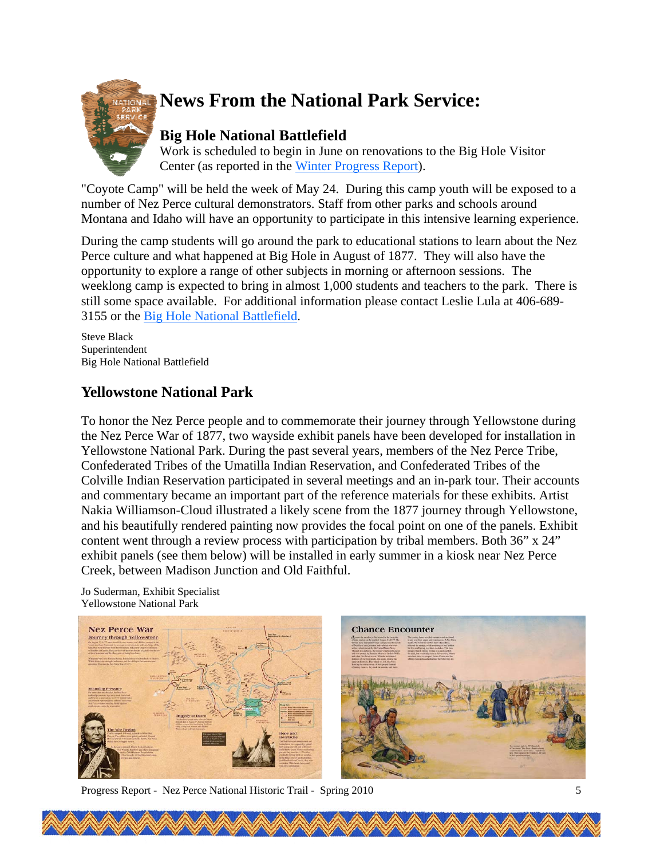

# **News From the National Park Service:**

### **Big Hole National Battlefield**

Work is scheduled to begin in June on renovations to the Big Hole Visitor Center (as reported in the Winter Progress Report).

"Coyote Camp" will be held the week of May 24. During this camp youth will be exposed to a number of Nez Perce cultural demonstrators. Staff from other parks and schools around Montana and Idaho will have an opportunity to participate in this intensive learning experience.

During the camp students will go around the park to educational stations to learn about the Nez Perce culture and what happened at Big Hole in August of 1877. They will also have the opportunity to explore a range of other subjects in morning or afternoon sessions. The weeklong camp is expected to bring in almost 1,000 students and teachers to the park. There is still some space available. For additional information please contact Leslie Lula at 406-689- 3155 or the Big Hole National Battlefield.

Steve Black Superintendent Big Hole National Battlefield

#### **Yellowstone National Park**

To honor the Nez Perce people and to commemorate their journey through Yellowstone during the Nez Perce War of 1877, two wayside exhibit panels have been developed for installation in Yellowstone National Park. During the past several years, members of the Nez Perce Tribe, Confederated Tribes of the Umatilla Indian Reservation, and Confederated Tribes of the Colville Indian Reservation participated in several meetings and an in-park tour. Their accounts and commentary became an important part of the reference materials for these exhibits. Artist Nakia Williamson-Cloud illustrated a likely scene from the 1877 journey through Yellowstone, and his beautifully rendered painting now provides the focal point on one of the panels. Exhibit content went through a review process with participation by tribal members. Both 36" x 24" exhibit panels (see them below) will be installed in early summer in a kiosk near Nez Perce Creek, between Madison Junction and Old Faithful.

Jo Suderman, Exhibit Specialist Yellowstone National Park



Progress Report - Nez Perce National Historic Trail - Spring 2010 5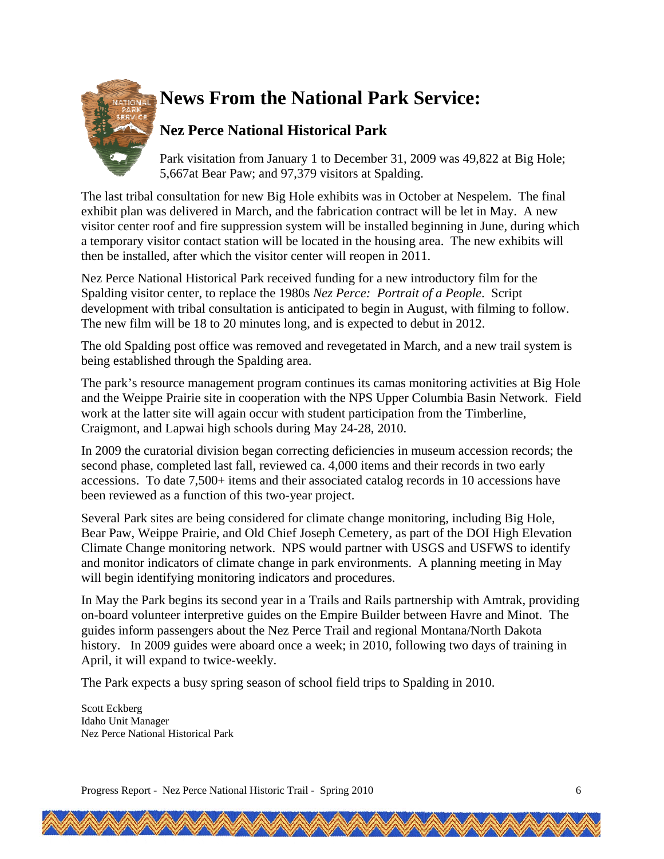

# **News From the National Park Service:**

### **Nez Perce National Historical Park**

Park visitation from January 1 to December 31, 2009 was 49,822 at Big Hole; 5,667at Bear Paw; and 97,379 visitors at Spalding.

The last tribal consultation for new Big Hole exhibits was in October at Nespelem. The final exhibit plan was delivered in March, and the fabrication contract will be let in May. A new visitor center roof and fire suppression system will be installed beginning in June, during which a temporary visitor contact station will be located in the housing area. The new exhibits will then be installed, after which the visitor center will reopen in 2011.

Nez Perce National Historical Park received funding for a new introductory film for the Spalding visitor center, to replace the 1980s *Nez Perce: Portrait of a People*. Script development with tribal consultation is anticipated to begin in August, with filming to follow. The new film will be 18 to 20 minutes long, and is expected to debut in 2012.

The old Spalding post office was removed and revegetated in March, and a new trail system is being established through the Spalding area.

The park's resource management program continues its camas monitoring activities at Big Hole and the Weippe Prairie site in cooperation with the NPS Upper Columbia Basin Network. Field work at the latter site will again occur with student participation from the Timberline, Craigmont, and Lapwai high schools during May 24-28, 2010.

In 2009 the curatorial division began correcting deficiencies in museum accession records; the second phase, completed last fall, reviewed ca. 4,000 items and their records in two early accessions. To date 7,500+ items and their associated catalog records in 10 accessions have been reviewed as a function of this two-year project.

Several Park sites are being considered for climate change monitoring, including Big Hole, Bear Paw, Weippe Prairie, and Old Chief Joseph Cemetery, as part of the DOI High Elevation Climate Change monitoring network. NPS would partner with USGS and USFWS to identify and monitor indicators of climate change in park environments. A planning meeting in May will begin identifying monitoring indicators and procedures.

In May the Park begins its second year in a Trails and Rails partnership with Amtrak, providing on-board volunteer interpretive guides on the Empire Builder between Havre and Minot. The guides inform passengers about the Nez Perce Trail and regional Montana/North Dakota history. In 2009 guides were aboard once a week; in 2010, following two days of training in April, it will expand to twice-weekly.

The Park expects a busy spring season of school field trips to Spalding in 2010.

Scott Eckberg Idaho Unit Manager Nez Perce National Historical Park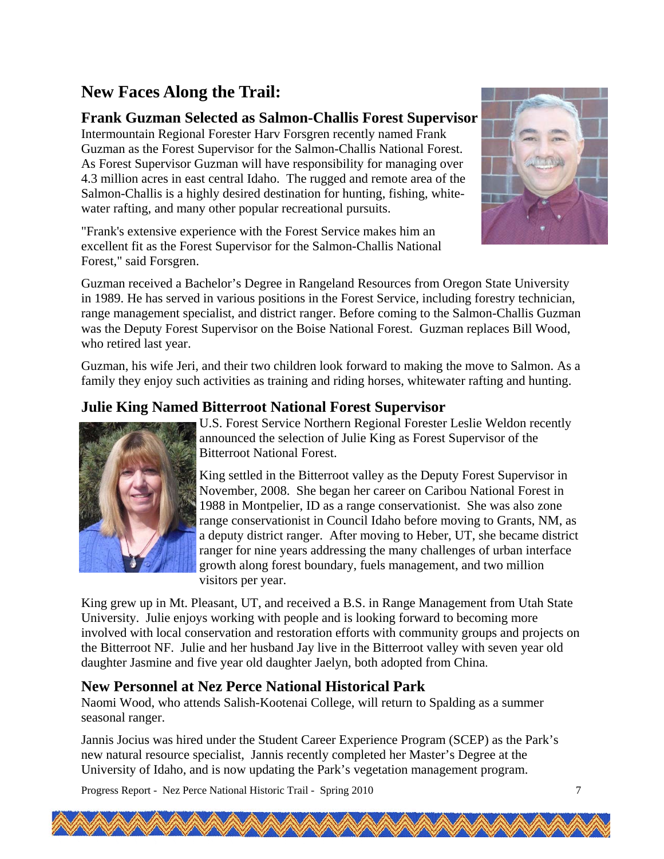## **New Faces Along the Trail:**

#### **Frank Guzman Selected as Salmon-Challis Forest Supervisor**

Intermountain Regional Forester Harv Forsgren recently named Frank Guzman as the Forest Supervisor for the Salmon-Challis National Forest. As Forest Supervisor Guzman will have responsibility for managing over 4.3 million acres in east central Idaho. The rugged and remote area of the Salmon-Challis is a highly desired destination for hunting, fishing, whitewater rafting, and many other popular recreational pursuits.

"Frank's extensive experience with the Forest Service makes him an excellent fit as the Forest Supervisor for the Salmon-Challis National Forest," said Forsgren.



Guzman received a Bachelor's Degree in Rangeland Resources from Oregon State University in 1989. He has served in various positions in the Forest Service, including forestry technician, range management specialist, and district ranger. Before coming to the Salmon-Challis Guzman was the Deputy Forest Supervisor on the Boise National Forest. Guzman replaces Bill Wood, who retired last year.

Guzman, his wife Jeri, and their two children look forward to making the move to Salmon. As a family they enjoy such activities as training and riding horses, whitewater rafting and hunting.

#### **Julie King Named Bitterroot National Forest Supervisor**



U.S. Forest Service Northern Regional Forester Leslie Weldon recently announced the selection of Julie King as Forest Supervisor of the Bitterroot National Forest.

King settled in the Bitterroot valley as the Deputy Forest Supervisor in November, 2008. She began her career on Caribou National Forest in 1988 in Montpelier, ID as a range conservationist. She was also zone range conservationist in Council Idaho before moving to Grants, NM, as a deputy district ranger. After moving to Heber, UT, she became district ranger for nine years addressing the many challenges of urban interface growth along forest boundary, fuels management, and two million visitors per year.

King grew up in Mt. Pleasant, UT, and received a B.S. in Range Management from Utah State University. Julie enjoys working with people and is looking forward to becoming more involved with local conservation and restoration efforts with community groups and projects on the Bitterroot NF. Julie and her husband Jay live in the Bitterroot valley with seven year old daughter Jasmine and five year old daughter Jaelyn, both adopted from China.

#### **New Personnel at Nez Perce National Historical Park**

Naomi Wood, who attends Salish-Kootenai College, will return to Spalding as a summer seasonal ranger.

Jannis Jocius was hired under the Student Career Experience Program (SCEP) as the Park's new natural resource specialist, Jannis recently completed her Master's Degree at the University of Idaho, and is now updating the Park's vegetation management program.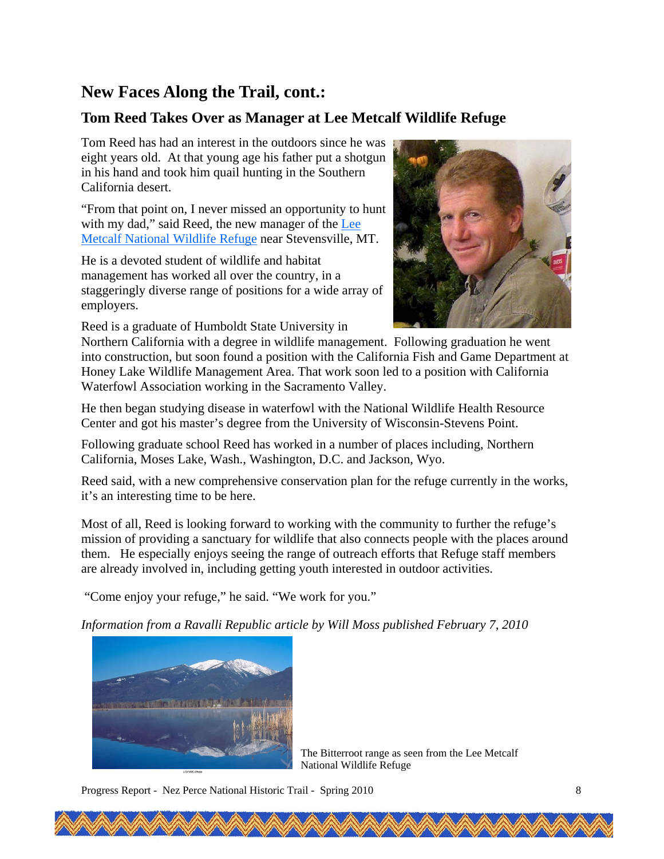### **New Faces Along the Trail, cont.:**

#### **Tom Reed Takes Over as Manager at Lee Metcalf Wildlife Refuge**

Tom Reed has had an interest in the outdoors since he was eight years old. At that young age his father put a shotgun in his hand and took him quail hunting in the Southern California desert.

"From that point on, I never missed an opportunity to hunt with my dad," said Reed, the new manager of the Lee Metcalf National Wildlife Refuge near Stevensville, MT.

He is a devoted student of wildlife and habitat management has worked all over the country, in a staggeringly diverse range of positions for a wide array of employers.

Reed is a graduate of Humboldt State University in



Northern California with a degree in wildlife management. Following graduation he went into construction, but soon found a position with the California Fish and Game Department at Honey Lake Wildlife Management Area. That work soon led to a position with California Waterfowl Association working in the Sacramento Valley.

He then began studying disease in waterfowl with the National Wildlife Health Resource Center and got his master's degree from the University of Wisconsin-Stevens Point.

Following graduate school Reed has worked in a number of places including, Northern California, Moses Lake, Wash., Washington, D.C. and Jackson, Wyo.

Reed said, with a new comprehensive conservation plan for the refuge currently in the works, it's an interesting time to be here.

Most of all, Reed is looking forward to working with the community to further the refuge's mission of providing a sanctuary for wildlife that also connects people with the places around them. He especially enjoys seeing the range of outreach efforts that Refuge staff members are already involved in, including getting youth interested in outdoor activities.

"Come enjoy your refuge," he said. "We work for you."

*Information from a Ravalli Republic article by Will Moss published February 7, 2010* 



The Bitterroot range as seen from the Lee Metcalf National Wildlife Refuge